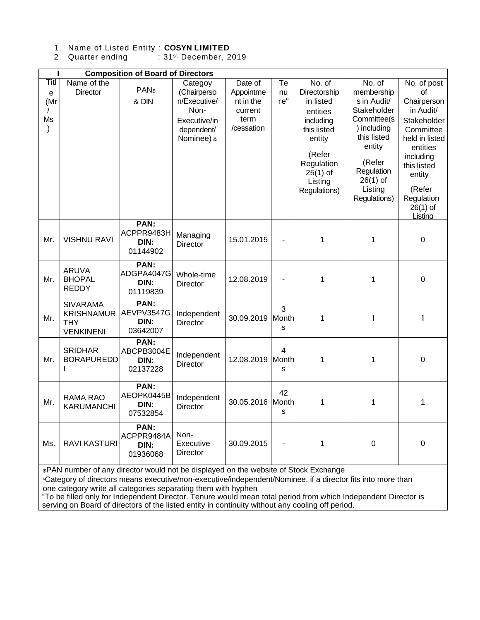## 1. Name of Listed Entity : **COSYN LIMITED**

2. Quarter ending : 31<sup>st</sup> December, 2019

| <b>Composition of Board of Directors</b> |                                                                        |                                        |                                                                                            |                                                                    |                 |                                                                                                                                                        |                                                                                                                                                                            |                                                                                                                                                                                                |  |  |  |  |
|------------------------------------------|------------------------------------------------------------------------|----------------------------------------|--------------------------------------------------------------------------------------------|--------------------------------------------------------------------|-----------------|--------------------------------------------------------------------------------------------------------------------------------------------------------|----------------------------------------------------------------------------------------------------------------------------------------------------------------------------|------------------------------------------------------------------------------------------------------------------------------------------------------------------------------------------------|--|--|--|--|
| Titl<br>e<br>(Mr<br>Ms<br>$\mathcal{C}$  | Name of the<br><b>Director</b>                                         | <b>PANs</b><br>& DIN                   | Categoy<br>(Chairperso<br>n/Executive/<br>Non-<br>Executive/in<br>dependent/<br>Nominee) & | Date of<br>Appointme<br>nt in the<br>current<br>term<br>/cessation | Te<br>nu<br>re" | No. of<br>Directorship<br>in listed<br>entities<br>including<br>this listed<br>entity<br>(Refer<br>Regulation<br>$25(1)$ of<br>Listing<br>Regulations) | No. of<br>membership<br>s in Audit/<br>Stakeholder<br>Committee(s<br>) including<br>this listed<br>entity<br>(Refer<br>Regulation<br>$26(1)$ of<br>Listing<br>Regulations) | No. of post<br>of<br>Chairperson<br>in Audit/<br>Stakeholder<br>Committee<br>held in listed<br>entities<br>including<br>this listed<br>entity<br>(Refer<br>Regulation<br>$26(1)$ of<br>Listina |  |  |  |  |
| Mr.                                      | <b>VISHNU RAVI</b>                                                     | PAN:<br>ACPPR9483H<br>DIN:<br>01144902 | Managing<br>Director                                                                       | 15.01.2015                                                         |                 | 1                                                                                                                                                      | 1                                                                                                                                                                          | $\mathbf 0$                                                                                                                                                                                    |  |  |  |  |
| Mr.                                      | <b>ARUVA</b><br><b>BHOPAL</b><br><b>REDDY</b>                          | PAN:<br>ADGPA4047G<br>DIN:<br>01119839 | Whole-time<br><b>Director</b>                                                              | 12.08.2019                                                         |                 | $\mathbf{1}$                                                                                                                                           | 1                                                                                                                                                                          | $\mathbf 0$                                                                                                                                                                                    |  |  |  |  |
| Mr.                                      | <b>SIVARAMA</b><br><b>KRISHNAMUR</b><br><b>THY</b><br><b>VENKINENI</b> | PAN:<br>AEVPV3547G<br>DIN:<br>03642007 | Independent<br><b>Director</b>                                                             | 30.09.2019                                                         | 3<br>Month<br>S | 1                                                                                                                                                      | $\mathbf{1}$                                                                                                                                                               | $\mathbf{1}$                                                                                                                                                                                   |  |  |  |  |
| Mr.                                      | <b>SRIDHAR</b><br><b>BORAPUREDD</b>                                    | PAN:<br>ABCPB3004E<br>DIN:<br>02137228 | Independent<br><b>Director</b>                                                             | 12.08.2019                                                         | 4<br>Month<br>S | 1                                                                                                                                                      | 1                                                                                                                                                                          | $\mathbf 0$                                                                                                                                                                                    |  |  |  |  |
| Mr.                                      | <b>RAMA RAO</b><br>KARUMANCHI                                          | PAN:<br>AEOPK0445B<br>DIN:<br>07532854 | Independent<br><b>Director</b>                                                             | 30.05.2016 Month                                                   | 42<br>S         | 1                                                                                                                                                      | 1                                                                                                                                                                          | $\mathbf 1$                                                                                                                                                                                    |  |  |  |  |
| Ms.                                      | <b>RAVI KASTURI</b>                                                    | PAN:<br>ACPPR9484A<br>DIN:<br>01936068 | Non-<br>Executive<br><b>Director</b>                                                       | 30.09.2015                                                         |                 | 1                                                                                                                                                      | $\boldsymbol{0}$                                                                                                                                                           | $\boldsymbol{0}$                                                                                                                                                                               |  |  |  |  |

\$PAN number of any director would not be displayed on the website of Stock Exchange

&Category of directors means executive/non-executive/independent/Nominee. if a director fits into more than one category write all categories separating them with hyphen

"To be filled only for Independent Director. Tenure would mean total period from which Independent Director is serving on Board of directors of the listed entity in continuity without any cooling off period.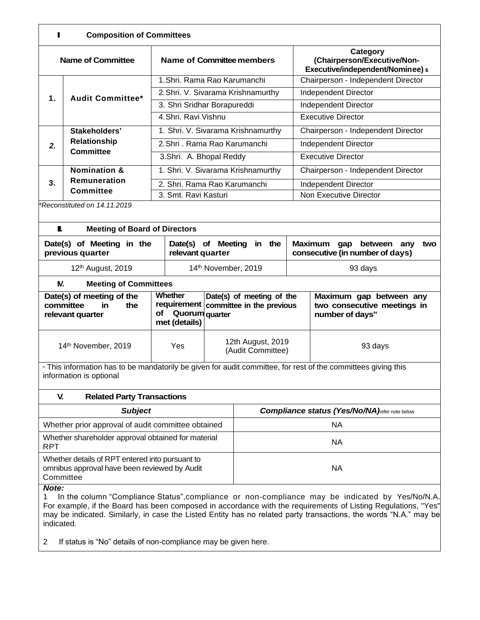| п<br><b>Composition of Committees</b>                                                                                                    |                                                                                                 |                                                  |                     |                                                                    |                           |                                                                                   |  |  |  |  |
|------------------------------------------------------------------------------------------------------------------------------------------|-------------------------------------------------------------------------------------------------|--------------------------------------------------|---------------------|--------------------------------------------------------------------|---------------------------|-----------------------------------------------------------------------------------|--|--|--|--|
|                                                                                                                                          | <b>Name of Committee</b>                                                                        | Name of Committee members                        |                     |                                                                    |                           | Category<br>(Chairperson/Executive/Non-<br>Executive/independent/Nominee) \$      |  |  |  |  |
|                                                                                                                                          |                                                                                                 | 1. Shri. Rama Rao Karumanchi                     |                     |                                                                    |                           | Chairperson - Independent Director                                                |  |  |  |  |
| 1.                                                                                                                                       | <b>Audit Committee*</b>                                                                         |                                                  |                     | 2. Shri. V. Sivarama Krishnamurthy                                 |                           | Independent Director                                                              |  |  |  |  |
|                                                                                                                                          |                                                                                                 | 3. Shri Sridhar Borapureddi                      |                     |                                                                    |                           | <b>Independent Director</b>                                                       |  |  |  |  |
|                                                                                                                                          |                                                                                                 | 4. Shri, Ravi Vishnu                             |                     |                                                                    |                           | <b>Executive Director</b>                                                         |  |  |  |  |
|                                                                                                                                          | Stakeholders'                                                                                   | 1. Shri. V. Sivarama Krishnamurthy               |                     |                                                                    |                           | Chairperson - Independent Director                                                |  |  |  |  |
| 2.                                                                                                                                       | Relationship                                                                                    | 2. Shri . Rama Rao Karumanchi                    |                     |                                                                    |                           | <b>Independent Director</b>                                                       |  |  |  |  |
|                                                                                                                                          | <b>Committee</b>                                                                                | 3.Shri. A. Bhopal Reddy                          |                     |                                                                    | <b>Executive Director</b> |                                                                                   |  |  |  |  |
|                                                                                                                                          | <b>Nomination &amp;</b>                                                                         | 1. Shri. V. Sivarama Krishnamurthy               |                     |                                                                    |                           | Chairperson - Independent Director                                                |  |  |  |  |
| 3.                                                                                                                                       | Remuneration                                                                                    | 2. Shri. Rama Rao Karumanchi                     |                     |                                                                    | Independent Director      |                                                                                   |  |  |  |  |
|                                                                                                                                          | <b>Committee</b>                                                                                | 3. Smt. Ravi Kasturi                             |                     |                                                                    |                           | Non Executive Director                                                            |  |  |  |  |
| *Reconstituted on 14.11.2019                                                                                                             |                                                                                                 |                                                  |                     |                                                                    |                           |                                                                                   |  |  |  |  |
| L<br><b>Meeting of Board of Directors</b>                                                                                                |                                                                                                 |                                                  |                     |                                                                    |                           |                                                                                   |  |  |  |  |
|                                                                                                                                          | Date(s) of Meeting in the<br>previous quarter                                                   | Date(s) of Meeting<br>relevant quarter           |                     | in the                                                             |                           | <b>Maximum</b><br>gap<br>between<br>any<br>two<br>consecutive (in number of days) |  |  |  |  |
|                                                                                                                                          | 12th August, 2019                                                                               |                                                  | 14th November, 2019 |                                                                    |                           | 93 days                                                                           |  |  |  |  |
| N.                                                                                                                                       | <b>Meeting of Committees</b>                                                                    |                                                  |                     |                                                                    |                           |                                                                                   |  |  |  |  |
|                                                                                                                                          | Date(s) of meeting of the<br>committee<br>in<br>the<br>relevant quarter                         | Whether<br>Quorum quarter<br>οf<br>met (details) |                     | Date(s) of meeting of the<br>requirement committee in the previous |                           | Maximum gap between any<br>two consecutive meetings in<br>number of days"         |  |  |  |  |
|                                                                                                                                          | 14th November, 2019                                                                             | Yes                                              |                     | 12th August, 2019<br>(Audit Committee)                             |                           | 93 days                                                                           |  |  |  |  |
| * This information has to be mandatorily be given for audit committee, for rest of the committees giving this<br>information is optional |                                                                                                 |                                                  |                     |                                                                    |                           |                                                                                   |  |  |  |  |
| V.                                                                                                                                       | <b>Related Party Transactions</b>                                                               |                                                  |                     |                                                                    |                           |                                                                                   |  |  |  |  |
|                                                                                                                                          | <b>Subject</b>                                                                                  |                                                  |                     | <b>Compliance status (Yes/No/NA)</b> refer note below              |                           |                                                                                   |  |  |  |  |
|                                                                                                                                          | Whether prior approval of audit committee obtained                                              |                                                  |                     | <b>NA</b>                                                          |                           |                                                                                   |  |  |  |  |
| <b>RPT</b>                                                                                                                               | Whether shareholder approval obtained for material                                              |                                                  |                     | <b>NA</b>                                                          |                           |                                                                                   |  |  |  |  |
| Committee<br>Note:                                                                                                                       | Whether details of RPT entered into pursuant to<br>omnibus approval have been reviewed by Audit |                                                  |                     | <b>NA</b>                                                          |                           |                                                                                   |  |  |  |  |
| 1 In the column "Compliance Status" compliance or non-compliance may be indicated by Yes/No/N.A.                                         |                                                                                                 |                                                  |                     |                                                                    |                           |                                                                                   |  |  |  |  |

1 In the column "Compliance Status",compliance or non-compliance may be indicated by Yes/No/N.A. For example, if the Board has been composed in accordance with the requirements of Listing Regulations, "Yes" may be indicated. Similarly, in case the Listed Entity has no related party transactions, the words "N.A." may be indicated.

2 If status is "No" details of non-compliance may be given here.